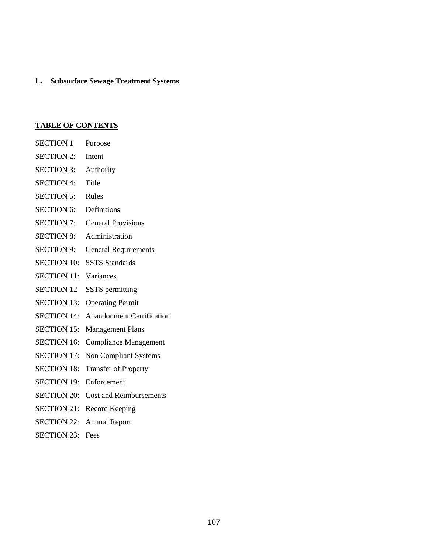# **L. Subsurface Sewage Treatment Systems**

# **TABLE OF CONTENTS**

| <b>SECTION 1</b>   | Purpose                          |
|--------------------|----------------------------------|
| <b>SECTION 2:</b>  | Intent                           |
| <b>SECTION 3:</b>  | Authority                        |
| <b>SECTION 4:</b>  | Title                            |
| <b>SECTION 5:</b>  | Rules                            |
| <b>SECTION 6:</b>  | Definitions                      |
| <b>SECTION 7:</b>  | <b>General Provisions</b>        |
| <b>SECTION 8:</b>  | Administration                   |
| <b>SECTION 9:</b>  | <b>General Requirements</b>      |
| <b>SECTION 10:</b> | <b>SSTS Standards</b>            |
| <b>SECTION 11:</b> | Variances                        |
| <b>SECTION 12</b>  | <b>SSTS</b> permitting           |
| <b>SECTION 13:</b> | <b>Operating Permit</b>          |
| <b>SECTION 14:</b> | <b>Abandonment Certification</b> |
| <b>SECTION 15:</b> | <b>Management Plans</b>          |
| <b>SECTION 16:</b> | <b>Compliance Management</b>     |
| <b>SECTION 17:</b> | <b>Non Compliant Systems</b>     |
| <b>SECTION 18:</b> | <b>Transfer of Property</b>      |
| <b>SECTION 19:</b> | Enforcement                      |
| <b>SECTION 20:</b> | <b>Cost and Reimbursements</b>   |
| <b>SECTION 21:</b> | Record Keeping                   |
| <b>SECTION 22:</b> | <b>Annual Report</b>             |

SECTION 23: Fees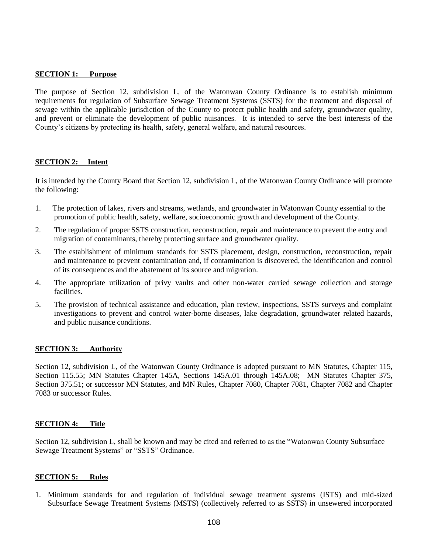#### **SECTION 1: Purpose**

The purpose of Section 12, subdivision L, of the Watonwan County Ordinance is to establish minimum requirements for regulation of Subsurface Sewage Treatment Systems (SSTS) for the treatment and dispersal of sewage within the applicable jurisdiction of the County to protect public health and safety, groundwater quality, and prevent or eliminate the development of public nuisances. It is intended to serve the best interests of the County's citizens by protecting its health, safety, general welfare, and natural resources.

#### **SECTION 2: Intent**

It is intended by the County Board that Section 12, subdivision L, of the Watonwan County Ordinance will promote the following:

- 1. The protection of lakes, rivers and streams, wetlands, and groundwater in Watonwan County essential to the promotion of public health, safety, welfare, socioeconomic growth and development of the County.
- 2. The regulation of proper SSTS construction, reconstruction, repair and maintenance to prevent the entry and migration of contaminants, thereby protecting surface and groundwater quality.
- 3. The establishment of minimum standards for SSTS placement, design, construction, reconstruction, repair and maintenance to prevent contamination and, if contamination is discovered, the identification and control of its consequences and the abatement of its source and migration.
- 4. The appropriate utilization of privy vaults and other non-water carried sewage collection and storage facilities.
- 5. The provision of technical assistance and education, plan review, inspections, SSTS surveys and complaint investigations to prevent and control water-borne diseases, lake degradation, groundwater related hazards, and public nuisance conditions.

#### **SECTION 3: Authority**

Section 12, subdivision L, of the Watonwan County Ordinance is adopted pursuant to MN Statutes, Chapter 115, Section 115.55; MN Statutes Chapter 145A, Sections 145A.01 through 145A.08; MN Statutes Chapter 375, Section 375.51; or successor MN Statutes, and MN Rules, Chapter 7080, Chapter 7081, Chapter 7082 and Chapter 7083 or successor Rules.

#### **SECTION 4: Title**

Section 12, subdivision L, shall be known and may be cited and referred to as the "Watonwan County Subsurface Sewage Treatment Systems" or "SSTS" Ordinance.

#### **SECTION 5: Rules**

1. Minimum standards for and regulation of individual sewage treatment systems (ISTS) and mid-sized Subsurface Sewage Treatment Systems (MSTS) (collectively referred to as SSTS) in unsewered incorporated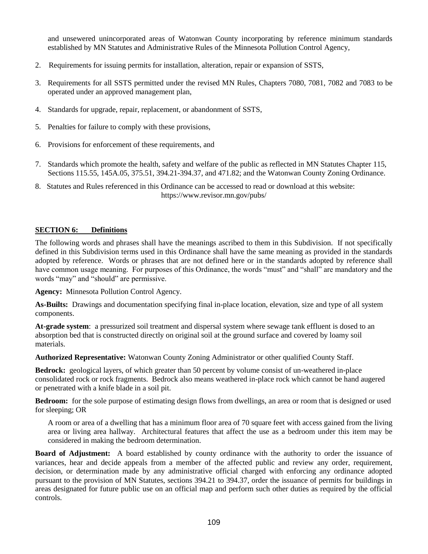and unsewered unincorporated areas of Watonwan County incorporating by reference minimum standards established by MN Statutes and Administrative Rules of the Minnesota Pollution Control Agency,

- 2. Requirements for issuing permits for installation, alteration, repair or expansion of SSTS,
- 3. Requirements for all SSTS permitted under the revised MN Rules, Chapters 7080, 7081, 7082 and 7083 to be operated under an approved management plan,
- 4. Standards for upgrade, repair, replacement, or abandonment of SSTS,
- 5. Penalties for failure to comply with these provisions,
- 6. Provisions for enforcement of these requirements, and
- 7. Standards which promote the health, safety and welfare of the public as reflected in MN Statutes Chapter 115, Sections 115.55, 145A.05, 375.51, 394.21-394.37, and 471.82; and the Watonwan County Zoning Ordinance.
- 8. Statutes and Rules referenced in this Ordinance can be accessed to read or download at this website: https://www.revisor.mn.gov/pubs/

#### **SECTION 6: Definitions**

The following words and phrases shall have the meanings ascribed to them in this Subdivision. If not specifically defined in this Subdivision terms used in this Ordinance shall have the same meaning as provided in the standards adopted by reference. Words or phrases that are not defined here or in the standards adopted by reference shall have common usage meaning. For purposes of this Ordinance, the words "must" and "shall" are mandatory and the words "may" and "should" are permissive.

**Agency:** Minnesota Pollution Control Agency.

**As-Builts:** Drawings and documentation specifying final in-place location, elevation, size and type of all system components.

**At-grade system**: a pressurized soil treatment and dispersal system where sewage tank effluent is dosed to an absorption bed that is constructed directly on original soil at the ground surface and covered by loamy soil materials.

**Authorized Representative:** Watonwan County Zoning Administrator or other qualified County Staff.

**Bedrock:** geological layers, of which greater than 50 percent by volume consist of un-weathered in-place consolidated rock or rock fragments. Bedrock also means weathered in-place rock which cannot be hand augered or penetrated with a knife blade in a soil pit.

**Bedroom:** for the sole purpose of estimating design flows from dwellings, an area or room that is designed or used for sleeping; OR

A room or area of a dwelling that has a minimum floor area of 70 square feet with access gained from the living area or living area hallway. Architectural features that affect the use as a bedroom under this item may be considered in making the bedroom determination.

**Board of Adjustment:** A board established by county ordinance with the authority to order the issuance of variances, hear and decide appeals from a member of the affected public and review any order, requirement, decision, or determination made by any administrative official charged with enforcing any ordinance adopted pursuant to the provision of MN Statutes, sections 394.21 to 394.37, order the issuance of permits for buildings in areas designated for future public use on an official map and perform such other duties as required by the official controls.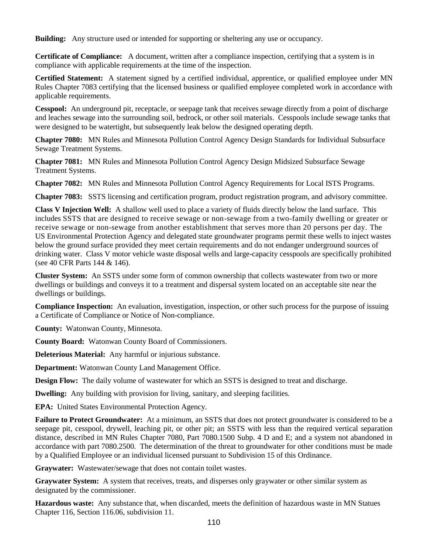**Building:** Any structure used or intended for supporting or sheltering any use or occupancy.

**Certificate of Compliance:** A document, written after a compliance inspection, certifying that a system is in compliance with applicable requirements at the time of the inspection.

**Certified Statement:** A statement signed by a certified individual, apprentice, or qualified employee under MN Rules Chapter 7083 certifying that the licensed business or qualified employee completed work in accordance with applicable requirements.

**Cesspool:** An underground pit, receptacle, or seepage tank that receives sewage directly from a point of discharge and leaches sewage into the surrounding soil, bedrock, or other soil materials. Cesspools include sewage tanks that were designed to be watertight, but subsequently leak below the designed operating depth.

**Chapter 7080:** MN Rules and Minnesota Pollution Control Agency Design Standards for Individual Subsurface Sewage Treatment Systems.

**Chapter 7081:** MN Rules and Minnesota Pollution Control Agency Design Midsized Subsurface Sewage Treatment Systems.

**Chapter 7082:** MN Rules and Minnesota Pollution Control Agency Requirements for Local ISTS Programs.

**Chapter 7083:** SSTS licensing and certification program, product registration program, and advisory committee.

**Class V Injection Well:** A shallow well used to place a variety of fluids directly below the land surface. This includes SSTS that are designed to receive sewage or non-sewage from a two-family dwelling or greater or receive sewage or non-sewage from another establishment that serves more than 20 persons per day. The US Environmental Protection Agency and delegated state groundwater programs permit these wells to inject wastes below the ground surface provided they meet certain requirements and do not endanger underground sources of drinking water. Class V motor vehicle waste disposal wells and large-capacity cesspools are specifically prohibited (see 40 CFR Parts 144 & 146).

**Cluster System:** An SSTS under some form of common ownership that collects wastewater from two or more dwellings or buildings and conveys it to a treatment and dispersal system located on an acceptable site near the dwellings or buildings.

**Compliance Inspection:** An evaluation, investigation, inspection, or other such process for the purpose of issuing a Certificate of Compliance or Notice of Non-compliance.

**County:** Watonwan County, Minnesota.

**County Board:** Watonwan County Board of Commissioners.

**Deleterious Material:** Any harmful or injurious substance.

**Department:** Watonwan County Land Management Office.

**Design Flow:** The daily volume of wastewater for which an SSTS is designed to treat and discharge.

**Dwelling:** Any building with provision for living, sanitary, and sleeping facilities.

**EPA:** United States Environmental Protection Agency.

**Failure to Protect Groundwater:** At a minimum, an SSTS that does not protect groundwater is considered to be a seepage pit, cesspool, drywell, leaching pit, or other pit; an SSTS with less than the required vertical separation distance, described in MN Rules Chapter 7080, Part 7080.1500 Subp. 4 D and E; and a system not abandoned in accordance with part 7080.2500. The determination of the threat to groundwater for other conditions must be made by a Qualified Employee or an individual licensed pursuant to Subdivision 15 of this Ordinance.

**Graywater:** Wastewater/sewage that does not contain toilet wastes.

**Graywater System:** A system that receives, treats, and disperses only graywater or other similar system as designated by the commissioner.

**Hazardous waste:** Any substance that, when discarded, meets the definition of hazardous waste in MN Statues Chapter 116, Section 116.06, subdivision 11.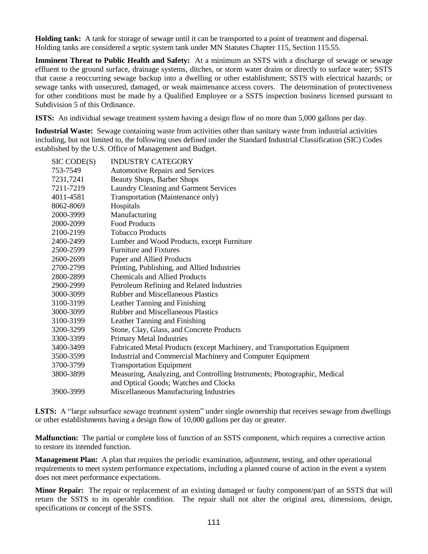**Holding tank:** A tank for storage of sewage until it can be transported to a point of treatment and dispersal. Holding tanks are considered a septic system tank under MN Statutes Chapter 115, Section 115.55.

**Imminent Threat to Public Health and Safety:** At a minimum an SSTS with a discharge of sewage or sewage effluent to the ground surface, drainage systems, ditches, or storm water drains or directly to surface water; SSTS that cause a reoccurring sewage backup into a dwelling or other establishment; SSTS with electrical hazards; or sewage tanks with unsecured, damaged, or weak maintenance access covers. The determination of protectiveness for other conditions must be made by a Qualified Employee or a SSTS inspection business licensed pursuant to Subdivision 5 of this Ordinance.

**ISTS:** An individual sewage treatment system having a design flow of no more than 5,000 gallons per day.

**Industrial Waste:** Sewage containing waste from activities other than sanitary waste from industrial activities including, but not limited to, the following uses defined under the Standard Industrial Classification (SIC) Codes established by the U.S. Office of Management and Budget.

| SIC CODE(S) | <b>INDUSTRY CATEGORY</b>                                                                                          |
|-------------|-------------------------------------------------------------------------------------------------------------------|
| 753-7549    | <b>Automotive Repairs and Services</b>                                                                            |
| 7231,7241   | <b>Beauty Shops, Barber Shops</b>                                                                                 |
| 7211-7219   | Laundry Cleaning and Garment Services                                                                             |
| 4011-4581   | Transportation (Maintenance only)                                                                                 |
| 8062-8069   | Hospitals                                                                                                         |
| 2000-3999   | Manufacturing                                                                                                     |
| 2000-2099   | <b>Food Products</b>                                                                                              |
| 2100-2199   | <b>Tobacco Products</b>                                                                                           |
| 2400-2499   | Lumber and Wood Products, except Furniture                                                                        |
| 2500-2599   | <b>Furniture and Fixtures</b>                                                                                     |
| 2600-2699   | Paper and Allied Products                                                                                         |
| 2700-2799   | Printing, Publishing, and Allied Industries                                                                       |
| 2800-2899   | <b>Chemicals and Allied Products</b>                                                                              |
| 2900-2999   | Petroleum Refining and Related Industries                                                                         |
| 3000-3099   | <b>Rubber and Miscellaneous Plastics</b>                                                                          |
| 3100-3199   | Leather Tanning and Finishing                                                                                     |
| 3000-3099   | <b>Rubber and Miscellaneous Plastics</b>                                                                          |
| 3100-3199   | Leather Tanning and Finishing                                                                                     |
| 3200-3299   | Stone, Clay, Glass, and Concrete Products                                                                         |
| 3300-3399   | <b>Primary Metal Industries</b>                                                                                   |
| 3400-3499   | Fabricated Metal Products (except Machinery, and Transportation Equipment                                         |
| 3500-3599   | Industrial and Commercial Machinery and Computer Equipment                                                        |
| 3700-3799   | <b>Transportation Equipment</b>                                                                                   |
| 3800-3899   | Measuring, Analyzing, and Controlling Instruments; Photographic, Medical<br>and Optical Goods; Watches and Clocks |
| 3900-3999   | Miscellaneous Manufacturing Industries                                                                            |
|             |                                                                                                                   |

**LSTS:** A "large subsurface sewage treatment system" under single ownership that receives sewage from dwellings or other establishments having a design flow of 10,000 gallons per day or greater.

**Malfunction:** The partial or complete loss of function of an SSTS component, which requires a corrective action to restore its intended function.

**Management Plan:** A plan that requires the periodic examination, adjustment, testing, and other operational requirements to meet system performance expectations, including a planned course of action in the event a system does not meet performance expectations.

**Minor Repair:** The repair or replacement of an existing damaged or faulty component/part of an SSTS that will return the SSTS to its operable condition. The repair shall not alter the original area, dimensions, design, specifications or concept of the SSTS.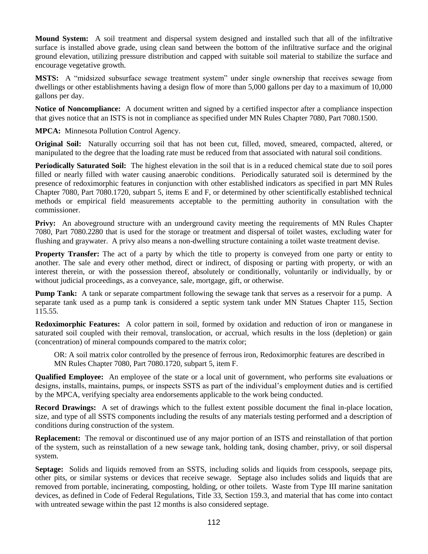**Mound System:** A soil treatment and dispersal system designed and installed such that all of the infiltrative surface is installed above grade, using clean sand between the bottom of the infiltrative surface and the original ground elevation, utilizing pressure distribution and capped with suitable soil material to stabilize the surface and encourage vegetative growth.

**MSTS:** A "midsized subsurface sewage treatment system" under single ownership that receives sewage from dwellings or other establishments having a design flow of more than 5,000 gallons per day to a maximum of 10,000 gallons per day.

**Notice of Noncompliance:** A document written and signed by a certified inspector after a compliance inspection that gives notice that an ISTS is not in compliance as specified under MN Rules Chapter 7080, Part 7080.1500.

**MPCA:** Minnesota Pollution Control Agency.

**Original Soil:** Naturally occurring soil that has not been cut, filled, moved, smeared, compacted, altered, or manipulated to the degree that the loading rate must be reduced from that associated with natural soil conditions.

**Periodically Saturated Soil:** The highest elevation in the soil that is in a reduced chemical state due to soil pores filled or nearly filled with water causing anaerobic conditions. Periodically saturated soil is determined by the presence of redoximorphic features in conjunction with other established indicators as specified in part MN Rules Chapter 7080, Part 7080.1720, subpart 5, items E and F, or determined by other scientifically established technical methods or empirical field measurements acceptable to the permitting authority in consultation with the commissioner.

**Privy:** An aboveground structure with an underground cavity meeting the requirements of MN Rules Chapter 7080, Part 7080.2280 that is used for the storage or treatment and dispersal of toilet wastes, excluding water for flushing and graywater. A privy also means a non-dwelling structure containing a toilet waste treatment devise.

**Property Transfer:** The act of a party by which the title to property is conveyed from one party or entity to another. The sale and every other method, direct or indirect, of disposing or parting with property, or with an interest therein, or with the possession thereof, absolutely or conditionally, voluntarily or individually, by or without judicial proceedings, as a conveyance, sale, mortgage, gift, or otherwise.

**Pump Tank:** A tank or separate compartment following the sewage tank that serves as a reservoir for a pump. A separate tank used as a pump tank is considered a septic system tank under MN Statues Chapter 115, Section 115.55.

**Redoximorphic Features:** A color pattern in soil, formed by oxidation and reduction of iron or manganese in saturated soil coupled with their removal, translocation, or accrual, which results in the loss (depletion) or gain (concentration) of mineral compounds compared to the matrix color;

OR: A soil matrix color controlled by the presence of ferrous iron, Redoximorphic features are described in MN Rules Chapter 7080, Part 7080.1720, subpart 5, item F.

**Qualified Employee:** An employee of the state or a local unit of government, who performs site evaluations or designs, installs, maintains, pumps, or inspects SSTS as part of the individual's employment duties and is certified by the MPCA, verifying specialty area endorsements applicable to the work being conducted.

**Record Drawings:** A set of drawings which to the fullest extent possible document the final in-place location, size, and type of all SSTS components including the results of any materials testing performed and a description of conditions during construction of the system.

**Replacement:** The removal or discontinued use of any major portion of an ISTS and reinstallation of that portion of the system, such as reinstallation of a new sewage tank, holding tank, dosing chamber, privy, or soil dispersal system.

**Septage:** Solids and liquids removed from an SSTS, including solids and liquids from cesspools, seepage pits, other pits, or similar systems or devices that receive sewage. Septage also includes solids and liquids that are removed from portable, incinerating, composting, holding, or other toilets. Waste from Type III marine sanitation devices, as defined in Code of Federal Regulations, Title 33, Section 159.3, and material that has come into contact with untreated sewage within the past 12 months is also considered septage.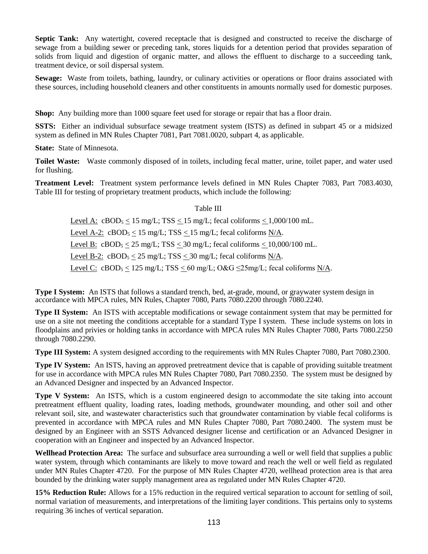**Septic Tank:** Any watertight, covered receptacle that is designed and constructed to receive the discharge of sewage from a building sewer or preceding tank, stores liquids for a detention period that provides separation of solids from liquid and digestion of organic matter, and allows the effluent to discharge to a succeeding tank, treatment device, or soil dispersal system.

**Sewage:** Waste from toilets, bathing, laundry, or culinary activities or operations or floor drains associated with these sources, including household cleaners and other constituents in amounts normally used for domestic purposes.

**Shop:** Any building more than 1000 square feet used for storage or repair that has a floor drain.

**SSTS:** Either an individual subsurface sewage treatment system (ISTS) as defined in subpart 45 or a midsized system as defined in MN Rules Chapter 7081, Part 7081.0020, subpart 4, as applicable.

**State:** State of Minnesota.

**Toilet Waste:** Waste commonly disposed of in toilets, including fecal matter, urine, toilet paper, and water used for flushing.

**Treatment Level:** Treatment system performance levels defined in MN Rules Chapter 7083, Part 7083.4030, Table III for testing of proprietary treatment products, which include the following:

## Table III

Level A:  $cBOD_5 < 15$  mg/L;  $TSS < 15$  mg/L; fecal coliforms  $< 1,000/100$  mL. Level A-2:  $cBOD_5 < 15$  mg/L; TSS  $< 15$  mg/L; fecal coliforms N/A. Level B:  $cBOD_5 \leq 25$  mg/L; TSS  $\leq 30$  mg/L; fecal coliforms  $\leq 10,000/100$  mL. Level B-2:  $cBOD_5 < 25$  mg/L; TSS  $<$  30 mg/L; fecal coliforms N/A. Level C:  $cBOD_5 \le 125$  mg/L; TSS  $\le 60$  mg/L; O&G  $\le 25$ mg/L; fecal coliforms N/A.

**Type I System:** An ISTS that follows a standard trench, bed, at-grade, mound, or graywater system design in accordance with MPCA rules, MN Rules, Chapter 7080, Parts 7080.2200 through 7080.2240.

**Type II System:** An ISTS with acceptable modifications or sewage containment system that may be permitted for use on a site not meeting the conditions acceptable for a standard Type I system. These include systems on lots in floodplains and privies or holding tanks in accordance with MPCA rules MN Rules Chapter 7080, Parts 7080.2250 through 7080.2290.

**Type III System:** A system designed according to the requirements with MN Rules Chapter 7080, Part 7080.2300.

**Type IV System:** An ISTS, having an approved pretreatment device that is capable of providing suitable treatment for use in accordance with MPCA rules MN Rules Chapter 7080, Part 7080.2350. The system must be designed by an Advanced Designer and inspected by an Advanced Inspector.

**Type V System:** An ISTS, which is a custom engineered design to accommodate the site taking into account pretreatment effluent quality, loading rates, loading methods, groundwater mounding, and other soil and other relevant soil, site, and wastewater characteristics such that groundwater contamination by viable fecal coliforms is prevented in accordance with MPCA rules and MN Rules Chapter 7080, Part 7080.2400. The system must be designed by an Engineer with an SSTS Advanced designer license and certification or an Advanced Designer in cooperation with an Engineer and inspected by an Advanced Inspector.

**Wellhead Protection Area:** The surface and subsurface area surrounding a well or well field that supplies a public water system, through which contaminants are likely to move toward and reach the well or well field as regulated under MN Rules Chapter 4720. For the purpose of MN Rules Chapter 4720, wellhead protection area is that area bounded by the drinking water supply management area as regulated under MN Rules Chapter 4720.

**15% Reduction Rule:** Allows for a 15% reduction in the required vertical separation to account for settling of soil, normal variation of measurements, and interpretations of the limiting layer conditions. This pertains only to systems requiring 36 inches of vertical separation.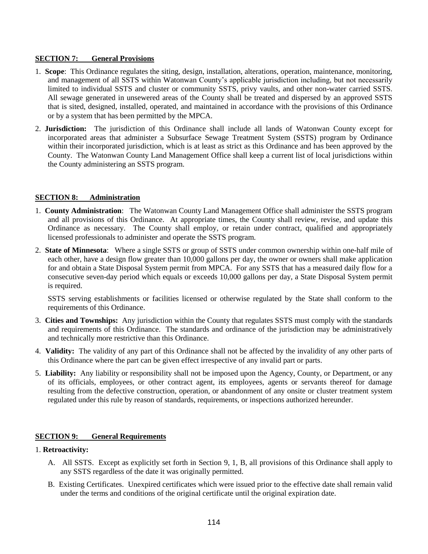## **SECTION 7: General Provisions**

- 1. **Scope**:This Ordinance regulates the siting, design, installation, alterations, operation, maintenance, monitoring, and management of all SSTS within Watonwan County's applicable jurisdiction including, but not necessarily limited to individual SSTS and cluster or community SSTS, privy vaults, and other non-water carried SSTS. All sewage generated in unsewered areas of the County shall be treated and dispersed by an approved SSTS that is sited, designed, installed, operated, and maintained in accordance with the provisions of this Ordinance or by a system that has been permitted by the MPCA.
- 2. **Jurisdiction:** The jurisdiction of this Ordinance shall include all lands of Watonwan County except for incorporated areas that administer a Subsurface Sewage Treatment System (SSTS) program by Ordinance within their incorporated jurisdiction, which is at least as strict as this Ordinance and has been approved by the County. The Watonwan County Land Management Office shall keep a current list of local jurisdictions within the County administering an SSTS program.

## **SECTION 8: Administration**

- 1. **County Administration**: The Watonwan County Land Management Office shall administer the SSTS program and all provisions of this Ordinance. At appropriate times, the County shall review, revise, and update this Ordinance as necessary. The County shall employ, or retain under contract, qualified and appropriately licensed professionals to administer and operate the SSTS program.
- 2. **State of Minnesota**: Where a single SSTS or group of SSTS under common ownership within one-half mile of each other, have a design flow greater than 10,000 gallons per day, the owner or owners shall make application for and obtain a State Disposal System permit from MPCA. For any SSTS that has a measured daily flow for a consecutive seven-day period which equals or exceeds 10,000 gallons per day, a State Disposal System permit is required.

SSTS serving establishments or facilities licensed or otherwise regulated by the State shall conform to the requirements of this Ordinance.

- 3. **Cities and Townships:** Any jurisdiction within the County that regulates SSTS must comply with the standards and requirements of this Ordinance. The standards and ordinance of the jurisdiction may be administratively and technically more restrictive than this Ordinance.
- 4. **Validity:** The validity of any part of this Ordinance shall not be affected by the invalidity of any other parts of this Ordinance where the part can be given effect irrespective of any invalid part or parts.
- 5. **Liability:** Any liability or responsibility shall not be imposed upon the Agency, County, or Department, or any of its officials, employees, or other contract agent, its employees, agents or servants thereof for damage resulting from the defective construction, operation, or abandonment of any onsite or cluster treatment system regulated under this rule by reason of standards, requirements, or inspections authorized hereunder.

## **SECTION 9: General Requirements**

# 1. **Retroactivity:**

- A. All SSTS.Except as explicitly set forth in Section 9, 1, B, all provisions of this Ordinance shall apply to any SSTS regardless of the date it was originally permitted.
- B. Existing Certificates.Unexpired certificates which were issued prior to the effective date shall remain valid under the terms and conditions of the original certificate until the original expiration date.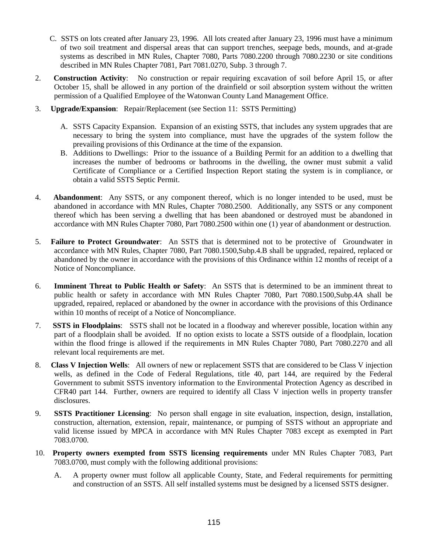- C. SSTS on lots created after January 23, 1996. All lots created after January 23, 1996 must have a minimum of two soil treatment and dispersal areas that can support trenches, seepage beds, mounds, and at-grade systems as described in MN Rules, Chapter 7080, Parts 7080.2200 through 7080.2230 or site conditions described in MN Rules Chapter 7081, Part 7081.0270, Subp. 3 through 7.
- 2. **Construction Activity**: No construction or repair requiring excavation of soil before April 15, or after October 15, shall be allowed in any portion of the drainfield or soil absorption system without the written permission of a Qualified Employee of the Watonwan County Land Management Office.
- 3. **Upgrade/Expansion**: Repair/Replacement (see Section 11: SSTS Permitting)
	- A. SSTS Capacity Expansion. Expansion of an existing SSTS, that includes any system upgrades that are necessary to bring the system into compliance, must have the upgrades of the system follow the prevailing provisions of this Ordinance at the time of the expansion.
	- B. Additions to Dwellings: Prior to the issuance of a Building Permit for an addition to a dwelling that increases the number of bedrooms or bathrooms in the dwelling, the owner must submit a valid Certificate of Compliance or a Certified Inspection Report stating the system is in compliance, or obtain a valid SSTS Septic Permit.
- 4. **Abandonment**: Any SSTS, or any component thereof, which is no longer intended to be used, must be abandoned in accordance with MN Rules, Chapter 7080.2500. Additionally, any SSTS or any component thereof which has been serving a dwelling that has been abandoned or destroyed must be abandoned in accordance with MN Rules Chapter 7080, Part 7080.2500 within one (1) year of abandonment or destruction.
- 5. **Failure to Protect Groundwater**: An SSTS that is determined not to be protective of Groundwater in accordance with MN Rules, Chapter 7080, Part 7080.1500,Subp.4.B shall be upgraded, repaired, replaced or abandoned by the owner in accordance with the provisions of this Ordinance within 12 months of receipt of a Notice of Noncompliance.
- 6. **Imminent Threat to Public Health or Safety**: An SSTS that is determined to be an imminent threat to public health or safety in accordance with MN Rules Chapter 7080, Part 7080.1500,Subp.4A shall be upgraded, repaired, replaced or abandoned by the owner in accordance with the provisions of this Ordinance within 10 months of receipt of a Notice of Noncompliance.
- 7. **SSTS in Floodplains**: SSTS shall not be located in a floodway and wherever possible, location within any part of a floodplain shall be avoided. If no option exists to locate a SSTS outside of a floodplain, location within the flood fringe is allowed if the requirements in MN Rules Chapter 7080, Part 7080.2270 and all relevant local requirements are met.
- 8. **Class V Injection Wells**:All owners of new or replacement SSTS that are considered to be Class V injection wells, as defined in the Code of Federal Regulations, title 40, part 144, are required by the Federal Government to submit SSTS inventory information to the Environmental Protection Agency as described in CFR40 part 144. Further, owners are required to identify all Class V injection wells in property transfer disclosures.
- 9. **SSTS Practitioner Licensing**:No person shall engage in site evaluation, inspection, design, installation, construction, alternation, extension, repair, maintenance, or pumping of SSTS without an appropriate and valid license issued by MPCA in accordance with MN Rules Chapter 7083 except as exempted in Part 7083.0700.
- 10. **Property owners exempted from SSTS licensing requirements** under MN Rules Chapter 7083, Part 7083.0700, must comply with the following additional provisions:
	- A. A property owner must follow all applicable County, State, and Federal requirements for permitting and construction of an SSTS. All self installed systems must be designed by a licensed SSTS designer.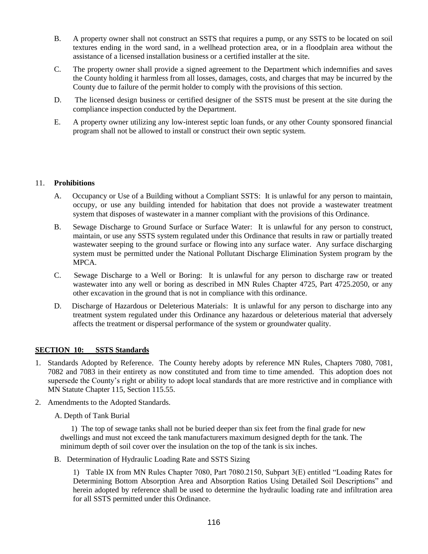- B. A property owner shall not construct an SSTS that requires a pump, or any SSTS to be located on soil textures ending in the word sand, in a wellhead protection area, or in a floodplain area without the assistance of a licensed installation business or a certified installer at the site.
- C. The property owner shall provide a signed agreement to the Department which indemnifies and saves the County holding it harmless from all losses, damages, costs, and charges that may be incurred by the County due to failure of the permit holder to comply with the provisions of this section.
- D. The licensed design business or certified designer of the SSTS must be present at the site during the compliance inspection conducted by the Department.
- E. A property owner utilizing any low-interest septic loan funds, or any other County sponsored financial program shall not be allowed to install or construct their own septic system.

## 11. **Prohibitions**

- A. Occupancy or Use of a Building without a Compliant SSTS: It is unlawful for any person to maintain, occupy, or use any building intended for habitation that does not provide a wastewater treatment system that disposes of wastewater in a manner compliant with the provisions of this Ordinance.
- B. Sewage Discharge to Ground Surface or Surface Water: It is unlawful for any person to construct, maintain, or use any SSTS system regulated under this Ordinance that results in raw or partially treated wastewater seeping to the ground surface or flowing into any surface water. Any surface discharging system must be permitted under the National Pollutant Discharge Elimination System program by the MPCA.
- C. Sewage Discharge to a Well or Boring: It is unlawful for any person to discharge raw or treated wastewater into any well or boring as described in MN Rules Chapter 4725, Part 4725.2050, or any other excavation in the ground that is not in compliance with this ordinance.
- D. Discharge of Hazardous or Deleterious Materials: It is unlawful for any person to discharge into any treatment system regulated under this Ordinance any hazardous or deleterious material that adversely affects the treatment or dispersal performance of the system or groundwater quality.

## **SECTION 10: SSTS Standards**

- 1. Standards Adopted by Reference. The County hereby adopts by reference MN Rules, Chapters 7080, 7081, 7082 and 7083 in their entirety as now constituted and from time to time amended. This adoption does not supersede the County's right or ability to adopt local standards that are more restrictive and in compliance with MN Statute Chapter 115, Section 115.55.
- 2. Amendments to the Adopted Standards.

A. Depth of Tank Burial

 1) The top of sewage tanks shall not be buried deeper than six feet from the final grade for new dwellings and must not exceed the tank manufacturers maximum designed depth for the tank. The minimum depth of soil cover over the insulation on the top of the tank is six inches.

B. Determination of Hydraulic Loading Rate and SSTS Sizing

1) Table IX from MN Rules Chapter 7080, Part 7080.2150, Subpart 3(E) entitled "Loading Rates for Determining Bottom Absorption Area and Absorption Ratios Using Detailed Soil Descriptions" and herein adopted by reference shall be used to determine the hydraulic loading rate and infiltration area for all SSTS permitted under this Ordinance.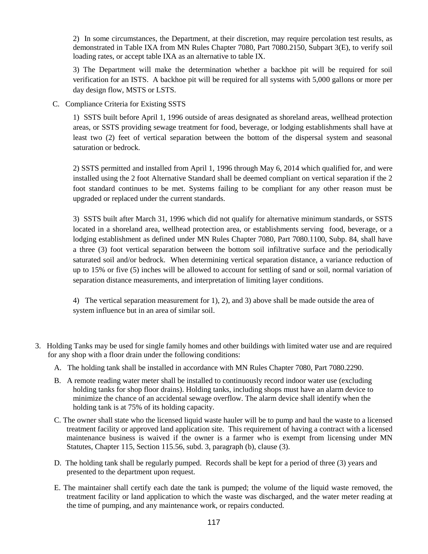2) In some circumstances, the Department, at their discretion, may require percolation test results, as demonstrated in Table IXA from MN Rules Chapter 7080, Part 7080.2150, Subpart 3(E), to verify soil loading rates, or accept table IXA as an alternative to table IX.

3) The Department will make the determination whether a backhoe pit will be required for soil verification for an ISTS. A backhoe pit will be required for all systems with 5,000 gallons or more per day design flow, MSTS or LSTS.

C. Compliance Criteria for Existing SSTS

1) SSTS built before April 1, 1996 outside of areas designated as shoreland areas, wellhead protection areas, or SSTS providing sewage treatment for food, beverage, or lodging establishments shall have at least two (2) feet of vertical separation between the bottom of the dispersal system and seasonal saturation or bedrock.

2) SSTS permitted and installed from April 1, 1996 through May 6, 2014 which qualified for, and were installed using the 2 foot Alternative Standard shall be deemed compliant on vertical separation if the 2 foot standard continues to be met. Systems failing to be compliant for any other reason must be upgraded or replaced under the current standards.

3) SSTS built after March 31, 1996 which did not qualify for alternative minimum standards, or SSTS located in a shoreland area, wellhead protection area, or establishments serving food, beverage, or a lodging establishment as defined under MN Rules Chapter 7080, Part 7080.1100, Subp. 84, shall have a three (3) foot vertical separation between the bottom soil infiltrative surface and the periodically saturated soil and/or bedrock. When determining vertical separation distance, a variance reduction of up to 15% or five (5) inches will be allowed to account for settling of sand or soil, normal variation of separation distance measurements, and interpretation of limiting layer conditions.

4) The vertical separation measurement for 1), 2), and 3) above shall be made outside the area of system influence but in an area of similar soil.

- 3. Holding Tanks may be used for single family homes and other buildings with limited water use and are required for any shop with a floor drain under the following conditions:
	- A. The holding tank shall be installed in accordance with MN Rules Chapter 7080, Part 7080.2290.
	- B. A remote reading water meter shall be installed to continuously record indoor water use (excluding holding tanks for shop floor drains). Holding tanks, including shops must have an alarm device to minimize the chance of an accidental sewage overflow. The alarm device shall identify when the holding tank is at 75% of its holding capacity.
	- C. The owner shall state who the licensed liquid waste hauler will be to pump and haul the waste to a licensed treatment facility or approved land application site. This requirement of having a contract with a licensed maintenance business is waived if the owner is a farmer who is exempt from licensing under MN Statutes, Chapter 115, Section 115.56, subd. 3, paragraph (b), clause (3).
	- D. The holding tank shall be regularly pumped. Records shall be kept for a period of three (3) years and presented to the department upon request.
	- E. The maintainer shall certify each date the tank is pumped; the volume of the liquid waste removed, the treatment facility or land application to which the waste was discharged, and the water meter reading at the time of pumping, and any maintenance work, or repairs conducted.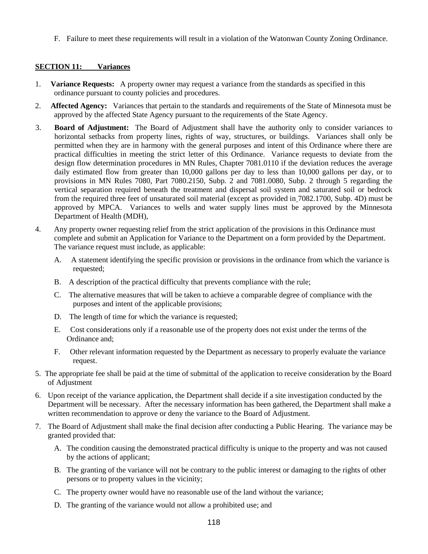F. Failure to meet these requirements will result in a violation of the Watonwan County Zoning Ordinance.

## **SECTION 11: Variances**

- 1. **Variance Requests:** A property owner may request a variance from the standards as specified in this ordinance pursuant to county policies and procedures.
- 2. **Affected Agency:** Variances that pertain to the standards and requirements of the State of Minnesota must be approved by the affected State Agency pursuant to the requirements of the State Agency.
- 3. **Board of Adjustment:** The Board of Adjustment shall have the authority only to consider variances to horizontal setbacks from property lines, rights of way, structures, or buildings. Variances shall only be permitted when they are in harmony with the general purposes and intent of this Ordinance where there are practical difficulties in meeting the strict letter of this Ordinance. Variance requests to deviate from the design flow determination procedures in MN Rules, Chapter 7081.0110 if the deviation reduces the average daily estimated flow from greater than 10,000 gallons per day to less than 10,000 gallons per day, or to provisions in MN Rules 7080, Part 7080.2150, Subp. 2 and 7081.0080, Subp. 2 through 5 regarding the vertical separation required beneath the treatment and dispersal soil system and saturated soil or bedrock from the required three feet of unsaturated soil material (except as provided in 7082.1700, Subp. 4D) must be approved by MPCA. Variances to wells and water supply lines must be approved by the Minnesota Department of Health (MDH),
- 4. Any property owner requesting relief from the strict application of the provisions in this Ordinance must complete and submit an Application for Variance to the Department on a form provided by the Department. The variance request must include, as applicable:
	- A. A statement identifying the specific provision or provisions in the ordinance from which the variance is requested;
	- B. A description of the practical difficulty that prevents compliance with the rule;
	- C. The alternative measures that will be taken to achieve a comparable degree of compliance with the purposes and intent of the applicable provisions;
	- D. The length of time for which the variance is requested;
	- E. Cost considerations only if a reasonable use of the property does not exist under the terms of the Ordinance and;
	- F. Other relevant information requested by the Department as necessary to properly evaluate the variance request.
- 5. The appropriate fee shall be paid at the time of submittal of the application to receive consideration by the Board of Adjustment
- 6. Upon receipt of the variance application, the Department shall decide if a site investigation conducted by the Department will be necessary. After the necessary information has been gathered, the Department shall make a written recommendation to approve or deny the variance to the Board of Adjustment.
- 7. The Board of Adjustment shall make the final decision after conducting a Public Hearing. The variance may be granted provided that:
	- A. The condition causing the demonstrated practical difficulty is unique to the property and was not caused by the actions of applicant;
	- B. The granting of the variance will not be contrary to the public interest or damaging to the rights of other persons or to property values in the vicinity;
	- C. The property owner would have no reasonable use of the land without the variance;
	- D. The granting of the variance would not allow a prohibited use; and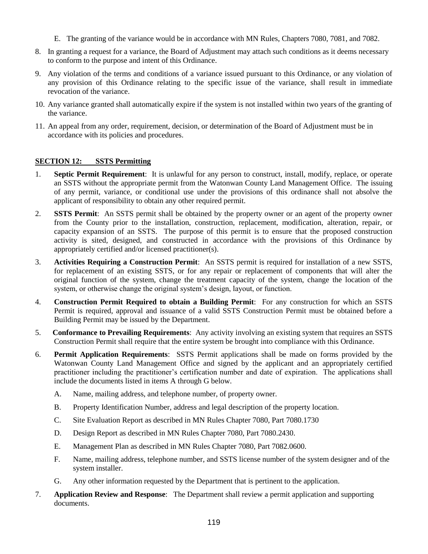- E. The granting of the variance would be in accordance with MN Rules, Chapters 7080, 7081, and 7082.
- 8. In granting a request for a variance, the Board of Adjustment may attach such conditions as it deems necessary to conform to the purpose and intent of this Ordinance.
- 9. Any violation of the terms and conditions of a variance issued pursuant to this Ordinance, or any violation of any provision of this Ordinance relating to the specific issue of the variance, shall result in immediate revocation of the variance.
- 10. Any variance granted shall automatically expire if the system is not installed within two years of the granting of the variance.
- 11. An appeal from any order, requirement, decision, or determination of the Board of Adjustment must be in accordance with its policies and procedures.

## **SECTION 12: SSTS Permitting**

- 1. **Septic Permit Requirement**: It is unlawful for any person to construct, install, modify, replace, or operate an SSTS without the appropriate permit from the Watonwan County Land Management Office. The issuing of any permit, variance, or conditional use under the provisions of this ordinance shall not absolve the applicant of responsibility to obtain any other required permit.
- 2. **SSTS Permit**: An SSTS permit shall be obtained by the property owner or an agent of the property owner from the County prior to the installation, construction, replacement, modification, alteration, repair, or capacity expansion of an SSTS. The purpose of this permit is to ensure that the proposed construction activity is sited, designed, and constructed in accordance with the provisions of this Ordinance by appropriately certified and/or licensed practitioner(s).
- 3. **Activities Requiring a Construction Permit**: An SSTS permit is required for installation of a new SSTS, for replacement of an existing SSTS, or for any repair or replacement of components that will alter the original function of the system, change the treatment capacity of the system, change the location of the system, or otherwise change the original system's design, layout, or function.
- 4. **Construction Permit Required to obtain a Building Permit**:For any construction for which an SSTS Permit is required, approval and issuance of a valid SSTS Construction Permit must be obtained before a Building Permit may be issued by the Department.
- 5. **Conformance to Prevailing Requirements**: Any activity involving an existing system that requires an SSTS Construction Permit shall require that the entire system be brought into compliance with this Ordinance.
- 6. **Permit Application Requirements**:SSTS Permit applications shall be made on forms provided by the Watonwan County Land Management Office and signed by the applicant and an appropriately certified practitioner including the practitioner's certification number and date of expiration. The applications shall include the documents listed in items A through G below.
	- A. Name, mailing address, and telephone number, of property owner.
	- B. Property Identification Number, address and legal description of the property location.
	- C. Site Evaluation Report as described in MN Rules Chapter 7080, Part 7080.1730
	- D. Design Report as described in MN Rules Chapter 7080, Part 7080.2430.
	- E. Management Plan as described in MN Rules Chapter 7080, Part 7082.0600.
	- F. Name, mailing address, telephone number, and SSTS license number of the system designer and of the system installer.
	- G. Any other information requested by the Department that is pertinent to the application.
- 7. **Application Review and Response**: The Department shall review a permit application and supporting documents.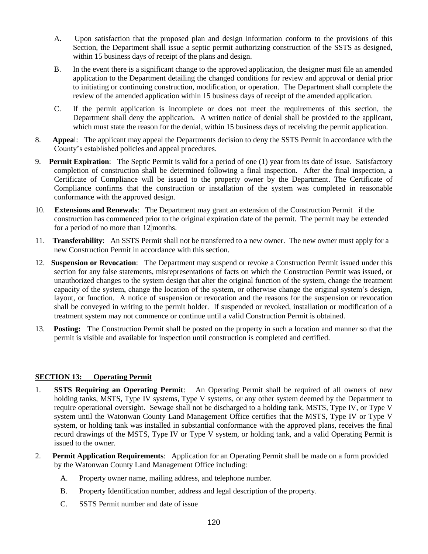- A. Upon satisfaction that the proposed plan and design information conform to the provisions of this Section, the Department shall issue a septic permit authorizing construction of the SSTS as designed, within 15 business days of receipt of the plans and design.
- B. In the event there is a significant change to the approved application, the designer must file an amended application to the Department detailing the changed conditions for review and approval or denial prior to initiating or continuing construction, modification, or operation. The Department shall complete the review of the amended application within 15 business days of receipt of the amended application.
- C. If the permit application is incomplete or does not meet the requirements of this section, the Department shall deny the application. A written notice of denial shall be provided to the applicant, which must state the reason for the denial, within 15 business days of receiving the permit application.
- 8. **Appea**l: The applicant may appeal the Departments decision to deny the SSTS Permit in accordance with the County's established policies and appeal procedures.
- 9. **Permit Expiration**: The Septic Permit is valid for a period of one (1) year from its date of issue. Satisfactory completion of construction shall be determined following a final inspection. After the final inspection, a Certificate of Compliance will be issued to the property owner by the Department. The Certificate of Compliance confirms that the construction or installation of the system was completed in reasonable conformance with the approved design.
- 10. **Extensions and Renewals**: The Department may grant an extension of the Construction Permit if the construction has commenced prior to the original expiration date of the permit. The permit may be extended for a period of no more than 12 months.
- 11. **Transferability**: An SSTS Permit shall not be transferred to a new owner. The new owner must apply for a new Construction Permit in accordance with this section.
- 12. **Suspension or Revocation**: The Department may suspend or revoke a Construction Permit issued under this section for any false statements, misrepresentations of facts on which the Construction Permit was issued, or unauthorized changes to the system design that alter the original function of the system, change the treatment capacity of the system, change the location of the system, or otherwise change the original system's design, layout, or function. A notice of suspension or revocation and the reasons for the suspension or revocation shall be conveyed in writing to the permit holder. If suspended or revoked, installation or modification of a treatment system may not commence or continue until a valid Construction Permit is obtained.
- 13. **Posting:** The Construction Permit shall be posted on the property in such a location and manner so that the permit is visible and available for inspection until construction is completed and certified.

## **SECTION 13: Operating Permit**

- 1. **SSTS Requiring an Operating Permit**: An Operating Permit shall be required of all owners of new holding tanks, MSTS, Type IV systems, Type V systems, or any other system deemed by the Department to require operational oversight. Sewage shall not be discharged to a holding tank, MSTS, Type IV, or Type V system until the Watonwan County Land Management Office certifies that the MSTS, Type IV or Type V system, or holding tank was installed in substantial conformance with the approved plans, receives the final record drawings of the MSTS, Type IV or Type V system, or holding tank, and a valid Operating Permit is issued to the owner.
- 2. **Permit Application Requirements**: Application for an Operating Permit shall be made on a form provided by the Watonwan County Land Management Office including:
	- A. Property owner name, mailing address, and telephone number.
	- B. Property Identification number, address and legal description of the property.
	- C. SSTS Permit number and date of issue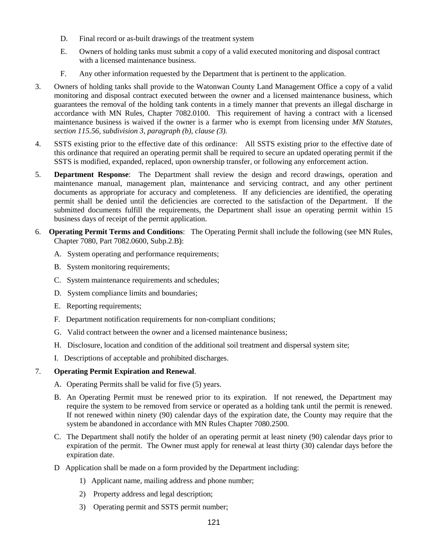- D. Final record or as-built drawings of the treatment system
- E. Owners of holding tanks must submit a copy of a valid executed monitoring and disposal contract with a licensed maintenance business.
- F. Any other information requested by the Department that is pertinent to the application.
- 3. Owners of holding tanks shall provide to the Watonwan County Land Management Office a copy of a valid monitoring and disposal contract executed between the owner and a licensed maintenance business, which guarantees the removal of the holding tank contents in a timely manner that prevents an illegal discharge in accordance with MN Rules, Chapter 7082.0100. This requirement of having a contract with a licensed maintenance business is waived if the owner is a farmer who is exempt from licensing under *MN Statutes, section 115.56, subdivision 3, paragraph (b), clause (3).*
- 4. SSTS existing prior to the effective date of this ordinance: All SSTS existing prior to the effective date of this ordinance that required an operating permit shall be required to secure an updated operating permit if the SSTS is modified, expanded, replaced, upon ownership transfer, or following any enforcement action.
- 5. **Department Response**: The Department shall review the design and record drawings, operation and maintenance manual, management plan, maintenance and servicing contract, and any other pertinent documents as appropriate for accuracy and completeness. If any deficiencies are identified, the operating permit shall be denied until the deficiencies are corrected to the satisfaction of the Department. If the submitted documents fulfill the requirements, the Department shall issue an operating permit within 15 business days of receipt of the permit application.
- 6. **Operating Permit Terms and Conditions**: The Operating Permit shall include the following (see MN Rules, Chapter 7080, Part 7082.0600, Subp.2.B):
	- A. System operating and performance requirements;
	- B. System monitoring requirements;
	- C. System maintenance requirements and schedules;
	- D. System compliance limits and boundaries;
	- E. Reporting requirements;
	- F. Department notification requirements for non-compliant conditions;
	- G. Valid contract between the owner and a licensed maintenance business;
	- H. Disclosure, location and condition of the additional soil treatment and dispersal system site;
	- I. Descriptions of acceptable and prohibited discharges.

# 7. **Operating Permit Expiration and Renewal**.

- A. Operating Permits shall be valid for five (5) years.
- B. An Operating Permit must be renewed prior to its expiration. If not renewed, the Department may require the system to be removed from service or operated as a holding tank until the permit is renewed. If not renewed within ninety (90) calendar days of the expiration date, the County may require that the system be abandoned in accordance with MN Rules Chapter 7080.2500.
- C. The Department shall notify the holder of an operating permit at least ninety (90) calendar days prior to expiration of the permit. The Owner must apply for renewal at least thirty (30) calendar days before the expiration date.
- D Application shall be made on a form provided by the Department including:
	- 1) Applicant name, mailing address and phone number;
	- 2) Property address and legal description;
	- 3) Operating permit and SSTS permit number;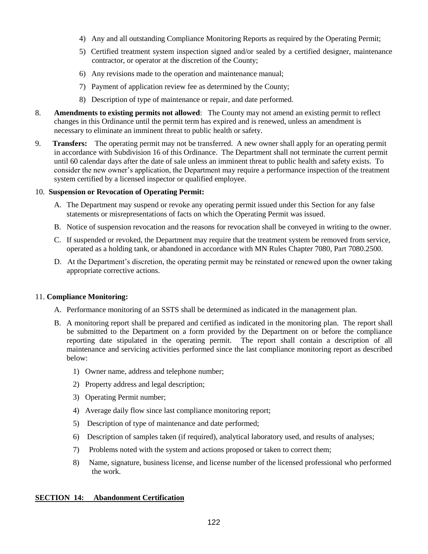- 4) Any and all outstanding Compliance Monitoring Reports as required by the Operating Permit;
- 5) Certified treatment system inspection signed and/or sealed by a certified designer, maintenance contractor, or operator at the discretion of the County;
- 6) Any revisions made to the operation and maintenance manual;
- 7) Payment of application review fee as determined by the County;
- 8) Description of type of maintenance or repair, and date performed.
- 8. **Amendments to existing permits not allowed**: The County may not amend an existing permit to reflect changes in this Ordinance until the permit term has expired and is renewed, unless an amendment is necessary to eliminate an imminent threat to public health or safety.
- 9. **Transfers:** The operating permit may not be transferred. A new owner shall apply for an operating permit in accordance with Subdivision 16 of this Ordinance. The Department shall not terminate the current permit until 60 calendar days after the date of sale unless an imminent threat to public health and safety exists. To consider the new owner's application, the Department may require a performance inspection of the treatment system certified by a licensed inspector or qualified employee.

# 10. **Suspension or Revocation of Operating Permit:**

- A. The Department may suspend or revoke any operating permit issued under this Section for any false statements or misrepresentations of facts on which the Operating Permit was issued.
- B. Notice of suspension revocation and the reasons for revocation shall be conveyed in writing to the owner.
- C. If suspended or revoked, the Department may require that the treatment system be removed from service, operated as a holding tank, or abandoned in accordance with MN Rules Chapter 7080, Part 7080.2500.
- D. At the Department's discretion, the operating permit may be reinstated or renewed upon the owner taking appropriate corrective actions.

## 11. **Compliance Monitoring:**

- A. Performance monitoring of an SSTS shall be determined as indicated in the management plan.
- B. A monitoring report shall be prepared and certified as indicated in the monitoring plan. The report shall be submitted to the Department on a form provided by the Department on or before the compliance reporting date stipulated in the operating permit. The report shall contain a description of all maintenance and servicing activities performed since the last compliance monitoring report as described below:
	- 1) Owner name, address and telephone number;
	- 2) Property address and legal description;
	- 3) Operating Permit number;
	- 4) Average daily flow since last compliance monitoring report;
	- 5) Description of type of maintenance and date performed;
	- 6) Description of samples taken (if required), analytical laboratory used, and results of analyses;
	- 7) Problems noted with the system and actions proposed or taken to correct them;
	- 8) Name, signature, business license, and license number of the licensed professional who performed the work.

## **SECTION 14: Abandonment Certification**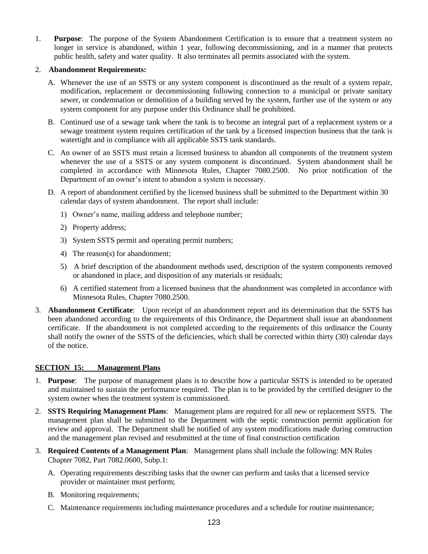1. **Purpose**: The purpose of the System Abandonment Certification is to ensure that a treatment system no longer in service is abandoned, within 1 year, following decommissioning, and in a manner that protects public health, safety and water quality. It also terminates all permits associated with the system.

## 2. **Abandonment Requirements:**

- A. Whenever the use of an SSTS or any system component is discontinued as the result of a system repair, modification, replacement or decommissioning following connection to a municipal or private sanitary sewer, or condemnation or demolition of a building served by the system, further use of the system or any system component for any purpose under this Ordinance shall be prohibited.
- B. Continued use of a sewage tank where the tank is to become an integral part of a replacement system or a sewage treatment system requires certification of the tank by a licensed inspection business that the tank is watertight and in compliance with all applicable SSTS tank standards.
- C. An owner of an SSTS must retain a licensed business to abandon all components of the treatment system whenever the use of a SSTS or any system component is discontinued. System abandonment shall be completed in accordance with Minnesota Rules, Chapter 7080.2500. No prior notification of the Department of an owner's intent to abandon a system is necessary.
- D. A report of abandonment certified by the licensed business shall be submitted to the Department within 30 calendar days of system abandonment. The report shall include:
	- 1) Owner's name, mailing address and telephone number;
	- 2) Property address;
	- 3) System SSTS permit and operating permit numbers;
	- 4) The reason(s) for abandonment;
	- 5) A brief description of the abandonment methods used, description of the system components removed or abandoned in place, and disposition of any materials or residuals;
	- 6) A certified statement from a licensed business that the abandonment was completed in accordance with Minnesota Rules, Chapter 7080.2500.
- 3. **Abandonment Certificate**: Upon receipt of an abandonment report and its determination that the SSTS has been abandoned according to the requirements of this Ordinance, the Department shall issue an abandonment certificate. If the abandonment is not completed according to the requirements of this ordinance the County shall notify the owner of the SSTS of the deficiencies, which shall be corrected within thirty (30) calendar days of the notice.

## **SECTION 15: Management Plans**

- 1. **Purpose**: The purpose of management plans is to describe how a particular SSTS is intended to be operated and maintained to sustain the performance required. The plan is to be provided by the certified designer to the system owner when the treatment system is commissioned.
- 2. **SSTS Requiring Management Plans**: Management plans are required for all new or replacement SSTS. The management plan shall be submitted to the Department with the septic construction permit application for review and approval. The Department shall be notified of any system modifications made during construction and the management plan revised and resubmitted at the time of final construction certification
- 3. **Required Contents of a Management Plan**: Management plans shall include the following: MN Rules Chapter 7082, Part 7082.0600, Subp.1:
	- A. Operating requirements describing tasks that the owner can perform and tasks that a licensed service provider or maintainer must perform;
	- B. Monitoring requirements;
	- C. Maintenance requirements including maintenance procedures and a schedule for routine maintenance;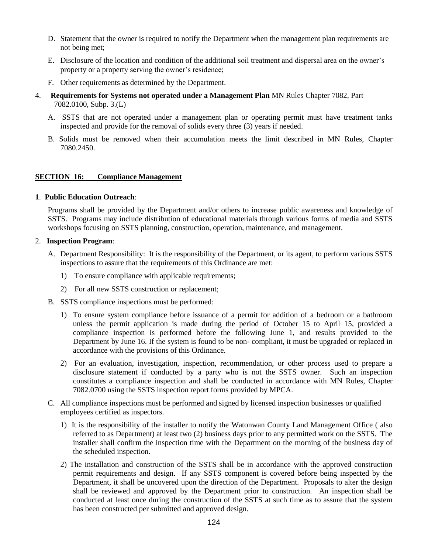- D. Statement that the owner is required to notify the Department when the management plan requirements are not being met;
- E. Disclosure of the location and condition of the additional soil treatment and dispersal area on the owner's property or a property serving the owner's residence;
- F. Other requirements as determined by the Department.
- 4. **Requirements for Systems not operated under a Management Plan** MN Rules Chapter 7082, Part 7082.0100, Subp. 3.(L)
	- A. SSTS that are not operated under a management plan or operating permit must have treatment tanks inspected and provide for the removal of solids every three (3) years if needed.
	- B. Solids must be removed when their accumulation meets the limit described in MN Rules, Chapter 7080.2450.

## **SECTION 16: Compliance Management**

## **1**. **Public Education Outreach**:

Programs shall be provided by the Department and/or others to increase public awareness and knowledge of SSTS. Programs may include distribution of educational materials through various forms of media and SSTS workshops focusing on SSTS planning, construction, operation, maintenance, and management.

#### 2. **Inspection Program**:

- A. Department Responsibility: It is the responsibility of the Department, or its agent, to perform various SSTS inspections to assure that the requirements of this Ordinance are met:
	- 1) To ensure compliance with applicable requirements;
	- 2) For all new SSTS construction or replacement;
- B. SSTS compliance inspections must be performed:
	- 1) To ensure system compliance before issuance of a permit for addition of a bedroom or a bathroom unless the permit application is made during the period of October 15 to April 15, provided a compliance inspection is performed before the following June 1, and results provided to the Department by June 16. If the system is found to be non- compliant, it must be upgraded or replaced in accordance with the provisions of this Ordinance.
	- 2) For an evaluation, investigation, inspection, recommendation, or other process used to prepare a disclosure statement if conducted by a party who is not the SSTS owner. Such an inspection constitutes a compliance inspection and shall be conducted in accordance with MN Rules, Chapter 7082.0700 using the SSTS inspection report forms provided by MPCA.
- C. All compliance inspections must be performed and signed by licensed inspection businesses or qualified employees certified as inspectors.
	- 1) It is the responsibility of the installer to notify the Watonwan County Land Management Office ( also referred to as Department) at least two (2) business days prior to any permitted work on the SSTS. The installer shall confirm the inspection time with the Department on the morning of the business day of the scheduled inspection.
	- 2) The installation and construction of the SSTS shall be in accordance with the approved construction permit requirements and design. If any SSTS component is covered before being inspected by the Department, it shall be uncovered upon the direction of the Department. Proposals to alter the design shall be reviewed and approved by the Department prior to construction. An inspection shall be conducted at least once during the construction of the SSTS at such time as to assure that the system has been constructed per submitted and approved design.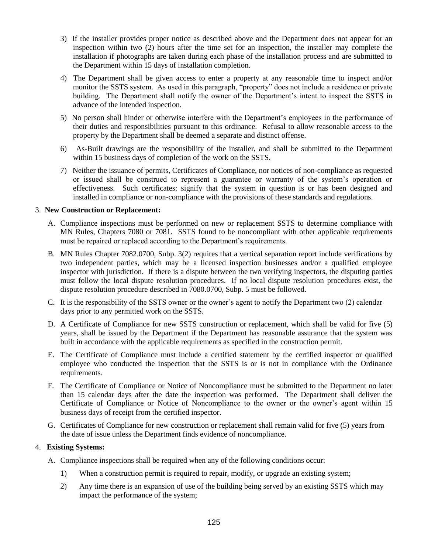- 3) If the installer provides proper notice as described above and the Department does not appear for an inspection within two (2) hours after the time set for an inspection, the installer may complete the installation if photographs are taken during each phase of the installation process and are submitted to the Department within 15 days of installation completion.
- 4) The Department shall be given access to enter a property at any reasonable time to inspect and/or monitor the SSTS system. As used in this paragraph, "property" does not include a residence or private building. The Department shall notify the owner of the Department's intent to inspect the SSTS in advance of the intended inspection.
- 5) No person shall hinder or otherwise interfere with the Department's employees in the performance of their duties and responsibilities pursuant to this ordinance. Refusal to allow reasonable access to the property by the Department shall be deemed a separate and distinct offense.
- 6) As-Built drawings are the responsibility of the installer, and shall be submitted to the Department within 15 business days of completion of the work on the SSTS.
- 7) Neither the issuance of permits, Certificates of Compliance, nor notices of non-compliance as requested or issued shall be construed to represent a guarantee or warranty of the system's operation or effectiveness. Such certificates: signify that the system in question is or has been designed and installed in compliance or non-compliance with the provisions of these standards and regulations.

## 3. **New Construction or Replacement:**

- A. Compliance inspections must be performed on new or replacement SSTS to determine compliance with MN Rules, Chapters 7080 or 7081. SSTS found to be noncompliant with other applicable requirements must be repaired or replaced according to the Department's requirements.
- B. MN Rules Chapter 7082.0700, Subp. 3(2) requires that a vertical separation report include verifications by two independent parties, which may be a licensed inspection businesses and/or a qualified employee inspector with jurisdiction. If there is a dispute between the two verifying inspectors, the disputing parties must follow the local dispute resolution procedures. If no local dispute resolution procedures exist, the dispute resolution procedure described in 7080.0700, Subp. 5 must be followed.
- C. It is the responsibility of the SSTS owner or the owner's agent to notify the Department two (2) calendar days prior to any permitted work on the SSTS.
- D. A Certificate of Compliance for new SSTS construction or replacement, which shall be valid for five (5) years, shall be issued by the Department if the Department has reasonable assurance that the system was built in accordance with the applicable requirements as specified in the construction permit.
- E. The Certificate of Compliance must include a certified statement by the certified inspector or qualified employee who conducted the inspection that the SSTS is or is not in compliance with the Ordinance requirements.
- F. The Certificate of Compliance or Notice of Noncompliance must be submitted to the Department no later than 15 calendar days after the date the inspection was performed. The Department shall deliver the Certificate of Compliance or Notice of Noncompliance to the owner or the owner's agent within 15 business days of receipt from the certified inspector.
- G. Certificates of Compliance for new construction or replacement shall remain valid for five (5) years from the date of issue unless the Department finds evidence of noncompliance.

## 4. **Existing Systems:**

- A. Compliance inspections shall be required when any of the following conditions occur:
	- 1) When a construction permit is required to repair, modify, or upgrade an existing system;
	- 2) Any time there is an expansion of use of the building being served by an existing SSTS which may impact the performance of the system;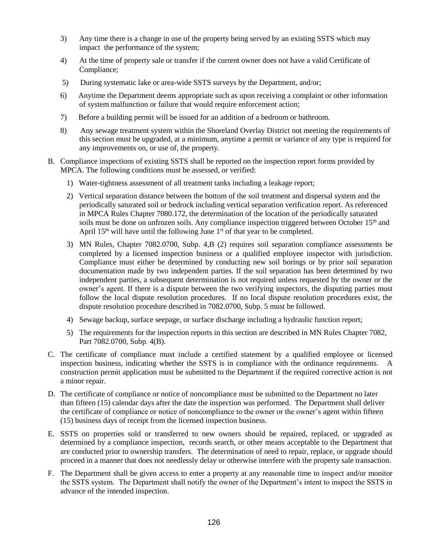- 3) Any time there is a change in use of the property being served by an existing SSTS which may impact the performance of the system;
- 4) At the time of property sale or transfer if the current owner does not have a valid Certificate of Compliance;
- 5) During systematic lake or area-wide SSTS surveys by the Department, and/or;
- 6) Anytime the Department deems appropriate such as upon receiving a complaint or other information of system malfunction or failure that would require enforcement action;
- 7) Before a building permit will be issued for an addition of a bedroom or bathroom.
- 8) Any sewage treatment system within the Shoreland Overlay District not meeting the requirements of this section must be upgraded, at a minimum, anytime a permit or variance of any type is required for any improvements on, or use of, the property.
- B. Compliance inspections of existing SSTS shall be reported on the inspection report forms provided by MPCA. The following conditions must be assessed, or verified:
	- 1) Water-tightness assessment of all treatment tanks including a leakage report;
	- 2) Vertical separation distance between the bottom of the soil treatment and dispersal system and the periodically saturated soil or bedrock including vertical separation verification report. As referenced in MPCA Rules Chapter 7080.172, the determination of the location of the periodically saturated soils must be done on unfrozen soils. Any compliance inspection triggered between October  $15<sup>th</sup>$  and April  $15<sup>th</sup>$  will have until the following June  $1<sup>st</sup>$  of that year to be completed.
	- 3) MN Rules, Chapter 7082.0700, Subp. 4,B (2) requires soil separation compliance assessments be completed by a licensed inspection business or a qualified employee inspector with jurisdiction. Compliance must either be determined by conducting new soil borings or by prior soil separation documentation made by two independent parties. If the soil separation has been determined by two independent parties, a subsequent determination is not required unless requested by the owner or the owner's agent. If there is a dispute between the two verifying inspectors, the disputing parties must follow the local dispute resolution procedures. If no local dispute resolution procedures exist, the dispute resolution procedure described in 7082.0700, Subp. 5 must be followed.
	- 4) Sewage backup, surface seepage, or surface discharge including a hydraulic function report;
	- 5) The requirements for the inspection reports in this section are described in MN Rules Chapter 7082, Part 7082.0700, Subp. 4(B).
- C. The certificate of compliance must include a certified statement by a qualified employee or licensed inspection business, indicating whether the SSTS is in compliance with the ordinance requirements. A construction permit application must be submitted to the Department if the required corrective action is not a minor repair.
- D. The certificate of compliance or notice of noncompliance must be submitted to the Department no later than fifteen (15) calendar days after the date the inspection was performed. The Department shall deliver the certificate of compliance or notice of noncompliance to the owner or the owner's agent within fifteen (15) business days of receipt from the licensed inspection business.
- E. SSTS on properties sold or transferred to new owners should be repaired, replaced, or upgraded as determined by a compliance inspection, records search, or other means acceptable to the Department that are conducted prior to ownership transfers. The determination of need to repair, replace, or upgrade should proceed in a manner that does not needlessly delay or otherwise interfere with the property sale transaction.
- F. The Department shall be given access to enter a property at any reasonable time to inspect and/or monitor the SSTS system. The Department shall notify the owner of the Department's intent to inspect the SSTS in advance of the intended inspection.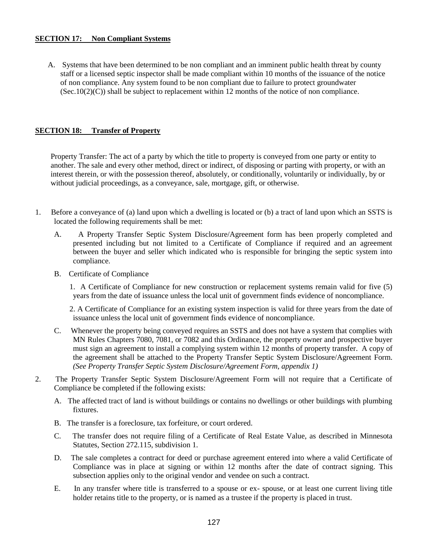## **SECTION 17: Non Compliant Systems**

A. Systems that have been determined to be non compliant and an imminent public health threat by county staff or a licensed septic inspector shall be made compliant within 10 months of the issuance of the notice of non compliance. Any system found to be non compliant due to failure to protect groundwater  $(Sec.10(2)(C))$  shall be subject to replacement within 12 months of the notice of non compliance.

# **SECTION 18: Transfer of Property**

 Property Transfer: The act of a party by which the title to property is conveyed from one party or entity to another. The sale and every other method, direct or indirect, of disposing or parting with property, or with an interest therein, or with the possession thereof, absolutely, or conditionally, voluntarily or individually, by or without judicial proceedings, as a conveyance, sale, mortgage, gift, or otherwise.

- 1. Before a conveyance of (a) land upon which a dwelling is located or (b) a tract of land upon which an SSTS is located the following requirements shall be met:
	- A. A Property Transfer Septic System Disclosure/Agreement form has been properly completed and presented including but not limited to a Certificate of Compliance if required and an agreement between the buyer and seller which indicated who is responsible for bringing the septic system into compliance.
	- B. Certificate of Compliance

 1. A Certificate of Compliance for new construction or replacement systems remain valid for five (5) years from the date of issuance unless the local unit of government finds evidence of noncompliance.

 2. A Certificate of Compliance for an existing system inspection is valid for three years from the date of issuance unless the local unit of government finds evidence of noncompliance.

- C. Whenever the property being conveyed requires an SSTS and does not have a system that complies with MN Rules Chapters 7080, 7081, or 7082 and this Ordinance, the property owner and prospective buyer must sign an agreement to install a complying system within 12 months of property transfer. A copy of the agreement shall be attached to the Property Transfer Septic System Disclosure/Agreement Form. *(See Property Transfer Septic System Disclosure/Agreement Form, appendix 1)*
- 2. The Property Transfer Septic System Disclosure/Agreement Form will not require that a Certificate of Compliance be completed if the following exists:
	- A. The affected tract of land is without buildings or contains no dwellings or other buildings with plumbing fixtures.
	- B. The transfer is a foreclosure, tax forfeiture, or court ordered.
	- C. The transfer does not require filing of a Certificate of Real Estate Value, as described in Minnesota Statutes, Section 272.115, subdivision 1.
	- D. The sale completes a contract for deed or purchase agreement entered into where a valid Certificate of Compliance was in place at signing or within 12 months after the date of contract signing. This subsection applies only to the original vendor and vendee on such a contract.
	- E. In any transfer where title is transferred to a spouse or ex- spouse, or at least one current living title holder retains title to the property, or is named as a trustee if the property is placed in trust.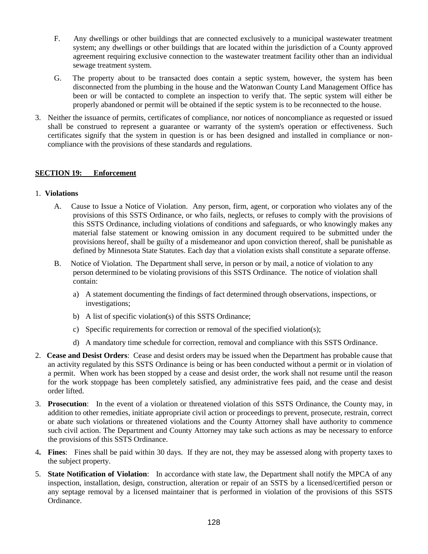- F. Any dwellings or other buildings that are connected exclusively to a municipal wastewater treatment system; any dwellings or other buildings that are located within the jurisdiction of a County approved agreement requiring exclusive connection to the wastewater treatment facility other than an individual sewage treatment system.
- G. The property about to be transacted does contain a septic system, however, the system has been disconnected from the plumbing in the house and the Watonwan County Land Management Office has been or will be contacted to complete an inspection to verify that. The septic system will either be properly abandoned or permit will be obtained if the septic system is to be reconnected to the house.
- 3. Neither the issuance of permits, certificates of compliance, nor notices of noncompliance as requested or issued shall be construed to represent a guarantee or warranty of the system's operation or effectiveness. Such certificates signify that the system in question is or has been designed and installed in compliance or noncompliance with the provisions of these standards and regulations.

# **SECTION 19: Enforcement**

## 1. **Violations**

- A. Cause to Issue a Notice of Violation. Any person, firm, agent, or corporation who violates any of the provisions of this SSTS Ordinance, or who fails, neglects, or refuses to comply with the provisions of this SSTS Ordinance, including violations of conditions and safeguards, or who knowingly makes any material false statement or knowing omission in any document required to be submitted under the provisions hereof, shall be guilty of a misdemeanor and upon conviction thereof, shall be punishable as defined by Minnesota State Statutes. Each day that a violation exists shall constitute a separate offense.
- B. Notice of Violation. The Department shall serve, in person or by mail, a notice of violation to any person determined to be violating provisions of this SSTS Ordinance. The notice of violation shall contain:
	- a) A statement documenting the findings of fact determined through observations, inspections, or investigations;
	- b) A list of specific violation(s) of this SSTS Ordinance;
	- c) Specific requirements for correction or removal of the specified violation(s);
	- d) A mandatory time schedule for correction, removal and compliance with this SSTS Ordinance.
- 2. **Cease and Desist Orders**: Cease and desist orders may be issued when the Department has probable cause that an activity regulated by this SSTS Ordinance is being or has been conducted without a permit or in violation of a permit. When work has been stopped by a cease and desist order, the work shall not resume until the reason for the work stoppage has been completely satisfied, any administrative fees paid, and the cease and desist order lifted.
- 3. **Prosecution**: In the event of a violation or threatened violation of this SSTS Ordinance, the County may, in addition to other remedies, initiate appropriate civil action or proceedings to prevent, prosecute, restrain, correct or abate such violations or threatened violations and the County Attorney shall have authority to commence such civil action. The Department and County Attorney may take such actions as may be necessary to enforce the provisions of this SSTS Ordinance.
- 4**. Fines**: Fines shall be paid within 30 days. If they are not, they may be assessed along with property taxes to the subject property.
- 5. **State Notification of Violation**: In accordance with state law, the Department shall notify the MPCA of any inspection, installation, design, construction, alteration or repair of an SSTS by a licensed/certified person or any septage removal by a licensed maintainer that is performed in violation of the provisions of this SSTS Ordinance.